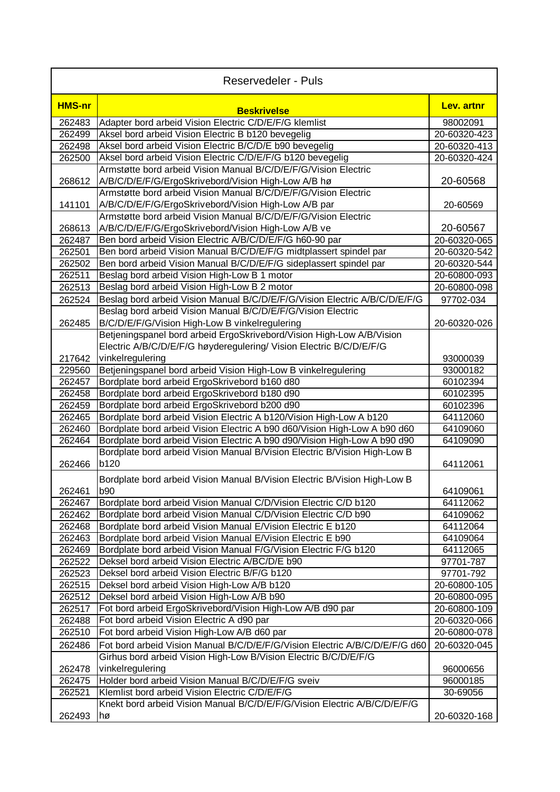| <b>Reservedeler - Puls</b> |                                                                                                                             |              |  |
|----------------------------|-----------------------------------------------------------------------------------------------------------------------------|--------------|--|
| <b>HMS-nr</b>              | <b>Beskrivelse</b>                                                                                                          | Lev. artnr   |  |
| 262483                     | Adapter bord arbeid Vision Electric C/D/E/F/G klemlist                                                                      | 98002091     |  |
| 262499                     | Aksel bord arbeid Vision Electric B b120 bevegelig                                                                          | 20-60320-423 |  |
| 262498                     | Aksel bord arbeid Vision Electric B/C/D/E b90 bevegelig                                                                     | 20-60320-413 |  |
| 262500                     | Aksel bord arbeid Vision Electric C/D/E/F/G b120 bevegelig                                                                  | 20-60320-424 |  |
|                            | Armstøtte bord arbeid Vision Manual B/C/D/E/F/G/Vision Electric                                                             |              |  |
| 268612                     | A/B/C/D/E/F/G/ErgoSkrivebord/Vision High-Low A/B hø                                                                         | 20-60568     |  |
| 141101                     | Armstøtte bord arbeid Vision Manual B/C/D/E/F/G/Vision Electric<br>A/B/C/D/E/F/G/ErgoSkrivebord/Vision High-Low A/B par     | 20-60569     |  |
|                            | Armstøtte bord arbeid Vision Manual B/C/D/E/F/G/Vision Electric                                                             |              |  |
| 268613                     | A/B/C/D/E/F/G/ErgoSkrivebord/Vision High-Low A/B ve                                                                         | 20-60567     |  |
| 262487                     | Ben bord arbeid Vision Electric A/B/C/D/E/F/G h60-90 par                                                                    | 20-60320-065 |  |
| 262501                     | Ben bord arbeid Vision Manual B/C/D/E/F/G midtplassert spindel par                                                          | 20-60320-542 |  |
| 262502                     | Ben bord arbeid Vision Manual B/C/D/E/F/G sideplassert spindel par                                                          | 20-60320-544 |  |
| 262511                     | Beslag bord arbeid Vision High-Low B 1 motor                                                                                | 20-60800-093 |  |
| 262513                     | Beslag bord arbeid Vision High-Low B 2 motor                                                                                | 20-60800-098 |  |
| 262524                     | Beslag bord arbeid Vision Manual B/C/D/E/F/G/Vision Electric A/B/C/D/E/F/G                                                  | 97702-034    |  |
|                            | Beslag bord arbeid Vision Manual B/C/D/E/F/G/Vision Electric                                                                |              |  |
| 262485                     | B/C/D/E/F/G/Vision High-Low B vinkelregulering                                                                              | 20-60320-026 |  |
|                            | Betjeningspanel bord arbeid ErgoSkrivebord/Vision High-Low A/B/Vision                                                       |              |  |
|                            | Electric A/B/C/D/E/F/G høyderegulering/ Vision Electric B/C/D/E/F/G                                                         |              |  |
| 217642                     | vinkelregulering                                                                                                            | 93000039     |  |
| 229560                     | Betjeningspanel bord arbeid Vision High-Low B vinkelregulering                                                              | 93000182     |  |
| 262457                     | Bordplate bord arbeid ErgoSkrivebord b160 d80                                                                               | 60102394     |  |
| 262458                     | Bordplate bord arbeid ErgoSkrivebord b180 d90                                                                               | 60102395     |  |
| 262459                     | Bordplate bord arbeid ErgoSkrivebord b200 d90                                                                               | 60102396     |  |
| 262465                     | Bordplate bord arbeid Vision Electric A b120/Vision High-Low A b120                                                         | 64112060     |  |
| 262460                     | Bordplate bord arbeid Vision Electric A b90 d60/Vision High-Low A b90 d60                                                   | 64109060     |  |
| 262464                     | Bordplate bord arbeid Vision Electric A b90 d90/Vision High-Low A b90 d90                                                   | 64109090     |  |
|                            | Bordplate bord arbeid Vision Manual B/Vision Electric B/Vision High-Low B                                                   |              |  |
| 262466                     | <b>b120</b>                                                                                                                 | 64112061     |  |
|                            | Bordplate bord arbeid Vision Manual B/Vision Electric B/Vision High-Low B                                                   |              |  |
| 262461                     | b90                                                                                                                         | 64109061     |  |
| 262467                     | Bordplate bord arbeid Vision Manual C/D/Vision Electric C/D b120                                                            | 64112062     |  |
| 262462                     | Bordplate bord arbeid Vision Manual C/D/Vision Electric C/D b90                                                             | 64109062     |  |
| 262468                     | Bordplate bord arbeid Vision Manual E/Vision Electric E b120                                                                | 64112064     |  |
| 262463                     | Bordplate bord arbeid Vision Manual E/Vision Electric E b90                                                                 | 64109064     |  |
| 262469                     | Bordplate bord arbeid Vision Manual F/G/Vision Electric F/G b120                                                            | 64112065     |  |
| 262522                     | Deksel bord arbeid Vision Electric A/BC/D/E b90                                                                             | 97701-787    |  |
| 262523                     | Deksel bord arbeid Vision Electric B/F/G b120                                                                               | 97701-792    |  |
| 262515                     | Deksel bord arbeid Vision High-Low A/B b120                                                                                 | 20-60800-105 |  |
| 262512                     | Deksel bord arbeid Vision High-Low A/B b90                                                                                  | 20-60800-095 |  |
| 262517                     | Fot bord arbeid ErgoSkrivebord/Vision High-Low A/B d90 par                                                                  | 20-60800-109 |  |
| 262488                     | Fot bord arbeid Vision Electric A d90 par                                                                                   | 20-60320-066 |  |
| 262510                     | Fot bord arbeid Vision High-Low A/B d60 par                                                                                 | 20-60800-078 |  |
| 262486                     | Fot bord arbeid Vision Manual B/C/D/E/F/G/Vision Electric A/B/C/D/E/F/G d60                                                 | 20-60320-045 |  |
|                            | Girhus bord arbeid Vision High-Low B/Vision Electric B/C/D/E/F/G                                                            |              |  |
| 262478                     | vinkelregulering                                                                                                            | 96000656     |  |
| 262475                     | Holder bord arbeid Vision Manual B/C/D/E/F/G sveiv                                                                          | 96000185     |  |
| 262521                     | Klemlist bord arbeid Vision Electric C/D/E/F/G<br>Knekt bord arbeid Vision Manual B/C/D/E/F/G/Vision Electric A/B/C/D/E/F/G | 30-69056     |  |
|                            |                                                                                                                             |              |  |
| 262493                     | hø                                                                                                                          | 20-60320-168 |  |